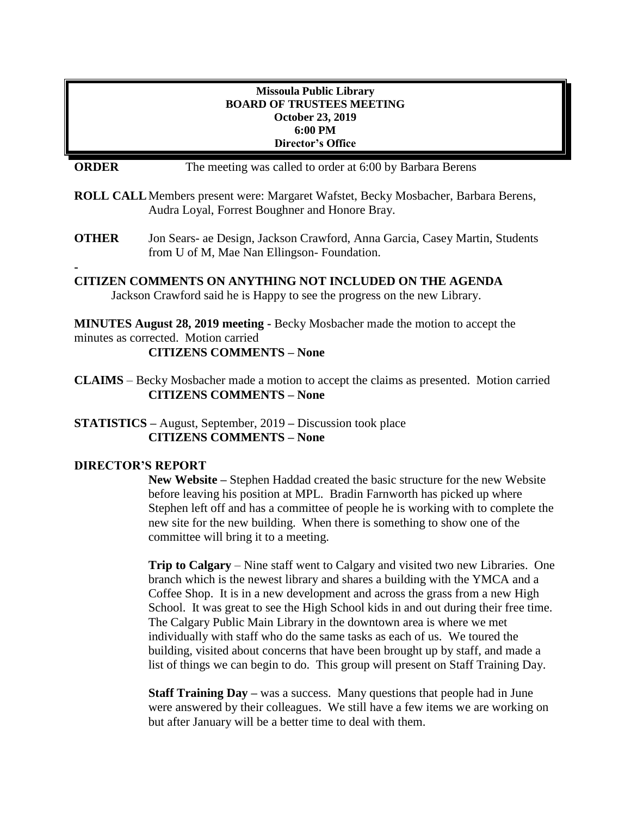## **Missoula Public Library BOARD OF TRUSTEES MEETING October 23, 2019 6:00 PM Director's Office**

**ORDER** The meeting was called to order at 6:00 by Barbara Berens

- **ROLL CALL**Members present were: Margaret Wafstet, Becky Mosbacher, Barbara Berens, Audra Loyal, Forrest Boughner and Honore Bray.
- **OTHER** Jon Sears- ae Design, Jackson Crawford, Anna Garcia, Casey Martin, Students from U of M, Mae Nan Ellingson- Foundation.

**- CITIZEN COMMENTS ON ANYTHING NOT INCLUDED ON THE AGENDA** Jackson Crawford said he is Happy to see the progress on the new Library.

**MINUTES August 28, 2019 meeting -** Becky Mosbacher made the motion to accept the minutes as corrected. Motion carried

**CITIZENS COMMENTS – None**

**CLAIMS** – Becky Mosbacher made a motion to accept the claims as presented. Motion carried **CITIZENS COMMENTS – None**

**STATISTICS –** August, September, 2019 **–** Discussion took place **CITIZENS COMMENTS – None**

## **DIRECTOR'S REPORT**

**New Website –** Stephen Haddad created the basic structure for the new Website before leaving his position at MPL. Bradin Farnworth has picked up where Stephen left off and has a committee of people he is working with to complete the new site for the new building. When there is something to show one of the committee will bring it to a meeting.

**Trip to Calgary** – Nine staff went to Calgary and visited two new Libraries. One branch which is the newest library and shares a building with the YMCA and a Coffee Shop. It is in a new development and across the grass from a new High School. It was great to see the High School kids in and out during their free time. The Calgary Public Main Library in the downtown area is where we met individually with staff who do the same tasks as each of us. We toured the building, visited about concerns that have been brought up by staff, and made a list of things we can begin to do. This group will present on Staff Training Day.

**Staff Training Day –** was a success. Many questions that people had in June were answered by their colleagues. We still have a few items we are working on but after January will be a better time to deal with them.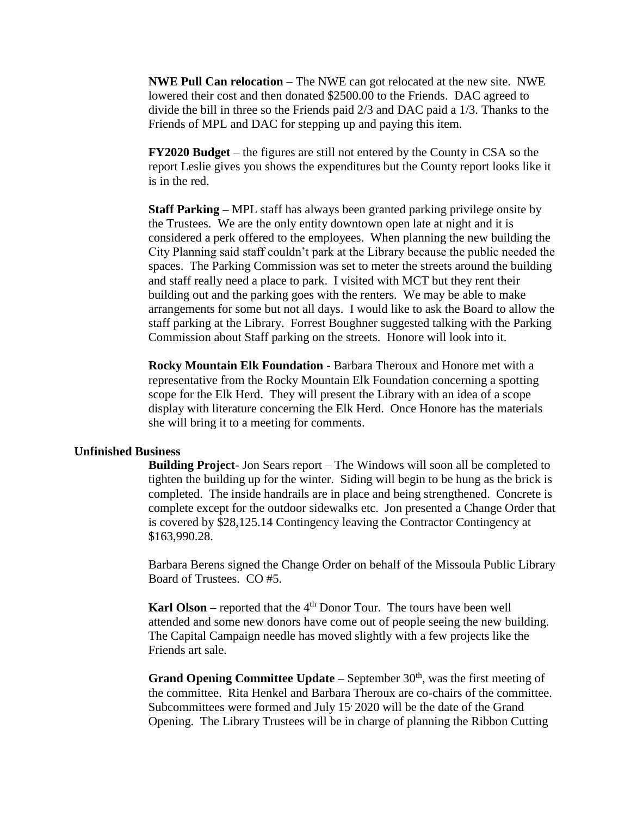**NWE Pull Can relocation** – The NWE can got relocated at the new site. NWE lowered their cost and then donated \$2500.00 to the Friends. DAC agreed to divide the bill in three so the Friends paid 2/3 and DAC paid a 1/3. Thanks to the Friends of MPL and DAC for stepping up and paying this item.

**FY2020 Budget** – the figures are still not entered by the County in CSA so the report Leslie gives you shows the expenditures but the County report looks like it is in the red.

**Staff Parking –** MPL staff has always been granted parking privilege onsite by the Trustees. We are the only entity downtown open late at night and it is considered a perk offered to the employees. When planning the new building the City Planning said staff couldn't park at the Library because the public needed the spaces. The Parking Commission was set to meter the streets around the building and staff really need a place to park. I visited with MCT but they rent their building out and the parking goes with the renters. We may be able to make arrangements for some but not all days. I would like to ask the Board to allow the staff parking at the Library. Forrest Boughner suggested talking with the Parking Commission about Staff parking on the streets. Honore will look into it.

**Rocky Mountain Elk Foundation -** Barbara Theroux and Honore met with a representative from the Rocky Mountain Elk Foundation concerning a spotting scope for the Elk Herd. They will present the Library with an idea of a scope display with literature concerning the Elk Herd. Once Honore has the materials she will bring it to a meeting for comments.

#### **Unfinished Business**

**Building Project**- Jon Sears report – The Windows will soon all be completed to tighten the building up for the winter. Siding will begin to be hung as the brick is completed. The inside handrails are in place and being strengthened. Concrete is complete except for the outdoor sidewalks etc. Jon presented a Change Order that is covered by \$28,125.14 Contingency leaving the Contractor Contingency at \$163,990.28.

Barbara Berens signed the Change Order on behalf of the Missoula Public Library Board of Trustees. CO #5.

**Karl Olson** – reported that the 4<sup>th</sup> Donor Tour. The tours have been well attended and some new donors have come out of people seeing the new building. The Capital Campaign needle has moved slightly with a few projects like the Friends art sale.

**Grand Opening Committee Update –** September 30<sup>th</sup>, was the first meeting of the committee. Rita Henkel and Barbara Theroux are co-chairs of the committee. Subcommittees were formed and July 15 2020 will be the date of the Grand Opening. The Library Trustees will be in charge of planning the Ribbon Cutting